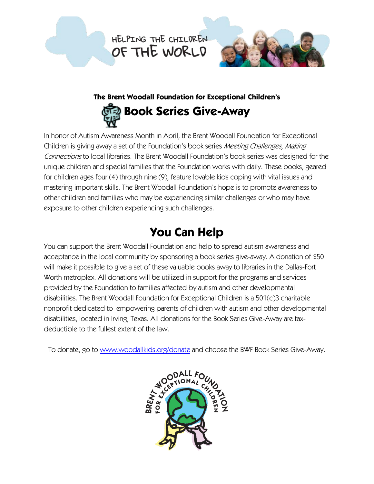HELPING THE CHILDREN OF THE WORLD



# **The Brent Woodall Foundation for Exceptional Children's**

# **Book Series Give-Away**

In honor of Autism Awareness Month in April, the Brent Woodall Foundation for Exceptional Children is giving away a set of the Foundation's book series Meeting Challenges, Making Connections to local libraries. The Brent Woodall Foundation's book series was designed for the unique children and special families that the Foundation works with daily. These books, geared for children ages four (4) through nine (9), feature lovable kids coping with vital issues and mastering important skills. The Brent Woodall Foundation's hope is to promote awareness to other children and families who may be experiencing similar challenges or who may have exposure to other children experiencing such challenges.

# **You Can Help**

You can support the Brent Woodall Foundation and help to spread autism awareness and acceptance in the local community by sponsoring a book series give-away. A donation of \$50 will make it possible to give a set of these valuable books away to libraries in the Dallas-Fort Worth metroplex. All donations will be utilized in support for the programs and services provided by the Foundation to families affected by autism and other developmental disabilities. The Brent Woodall Foundation for Exceptional Children is a 501(c)3 charitable nonprofit dedicated to empowering parents of children with autism and other developmental disabilities, located in Irving, Texas. All donations for the Book Series Give-Away are taxdeductible to the fullest extent of the law.

To donate, go to [www.woodallkids.org/donate](http://www.woodallkids.org/donate) and choose the BWF Book Series Give-Away.

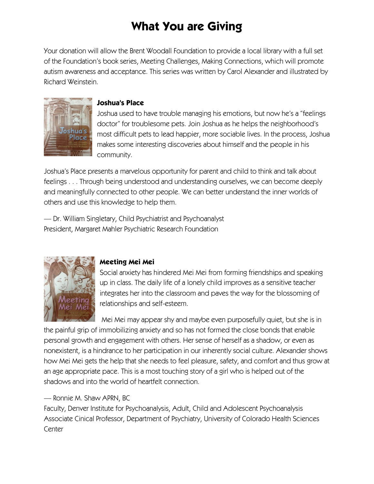# **What You are Giving**

Your donation will allow the Brent Woodall Foundation to provide a local library with a full set of the Foundation's book series, Meeting Challenges, Making Connections, which will promote autism awareness and acceptance. This series was written by Carol Alexander and illustrated by Richard Weinstein.



#### **Joshua's Place**

Joshua used to have trouble managing his emotions, but now he's a "feelings doctor" for troublesome pets. Join Joshua as he helps the neighborhood's most difficult pets to lead happier, more sociable lives. In the process, Joshua makes some interesting discoveries about himself and the people in his community.

Joshua's Place presents a marvelous opportunity for parent and child to think and talk about feelings . . . Through being understood and understanding ourselves, we can become deeply and meaningfully connected to other people. We can better understand the inner worlds of others and use this knowledge to help them.

— Dr. William Singletary, Child Psychiatrist and Psychoanalyst President, Margaret Mahler Psychiatric Research Foundation



## **Meeting Mei Mei**

Social anxiety has hindered Mei Mei from forming friendships and speaking up in class. The daily life of a lonely child improves as a sensitive teacher integrates her into the classroom and paves the way for the blossoming of relationships and self-esteem.

Mei Mei may appear shy and maybe even purposefully quiet, but she is in the painful grip of immobilizing anxiety and so has not formed the close bonds that enable personal growth and engagement with others. Her sense of herself as a shadow, or even as nonexistent, is a hindrance to her participation in our inherently social culture. Alexander shows how Mei Mei gets the help that she needs to feel pleasure, safety, and comfort and thus grow at an age appropriate pace. This is a most touching story of a girl who is helped out of the shadows and into the world of heartfelt connection.

#### — Ronnie M. Shaw APRN, BC

Faculty, Denver Institute for Psychoanalysis, Adult, Child and Adolescent Psychoanalysis Associate Cinical Professor, Department of Psychiatry, University of Colorado Health Sciences **Center**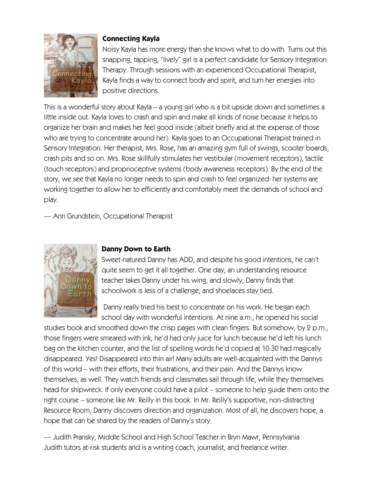

#### **Connecting Kayla**

Noisy Kayla has more energy than she knows what to do with. Turns out this snapping, tapping, "lively" girl is a perfect candidate for Sensory Integration Therapy. Through sessions with an experienced Occupational Therapist, Kayla finds a way to connect body and spirit, and turn her energies into positive directions.

This is a wonderful story about Kayla – a young girl who is a bit upside down and sometimes a little inside out. Kayla loves to crash and spin and make all kinds of noise because it helps to organize her brain and makes her feel good inside (albeit briefly and at the expense of those who are trying to concentrate around her). Kayla goes to an Occupational Therapist trained in Sensory Integration. Her therapist, Mrs. Rose, has an amazing gym full of swings, scooter boards, crash pits and so on. Mrs. Rose skillfully stimulates her vestibular (movement receptors), tactile (touch receptors) and proprioceptive systems (body awareness receptors). By the end of the story, we see that Kayla no longer needs to spin and crash to feel organized: her systems are working together to allow her to efficiently and comfortably meet the demands of school and play.

— Ann Grundstein, Occupational Therapist



#### **Danny Down to Earth**

Sweet-natured Danny has ADD, and despite his good intentions, he can't quite seem to get it all together. One day, an understanding resource teacher takes Danny under his wing, and slowly, Danny finds that schoolwork is less of a challenge, and shoelaces stay tied.

Danny really tried his best to concentrate on his work. He began each school day with wonderful intentions. At nine a.m., he opened his social

studies book and smoothed down the crisp pages with clean fingers. But somehow, by 2 p.m., those fingers were smeared with ink, he'd had only juice for lunch because he'd left his lunch bag on the kitchen counter, and the list of spelling words he'd copied at 10:30 had magically disappeared. Yes! Disappeared into thin air! Many adults are well-acquainted with the Dannys of this world – with their efforts, their frustrations, and their pain. And the Dannys know themselves, as well. They watch friends and classmates sail through life, while they themselves head for shipwreck. If only everyone could have a pilot – someone to help guide them onto the right course – someone like Mr. Reilly in this book. In Mr. Reilly's supportive, non-distracting Resource Room, Danny discovers direction and organization. Most of all, he discovers hope, a hope that can be shared by the readers of Danny's story.

— Judith Pransky, Middle School and High School Teacher in Bryn Mawr, Pennsylvania Judith tutors at-risk students and is a writing coach, journalist, and freelance writer.